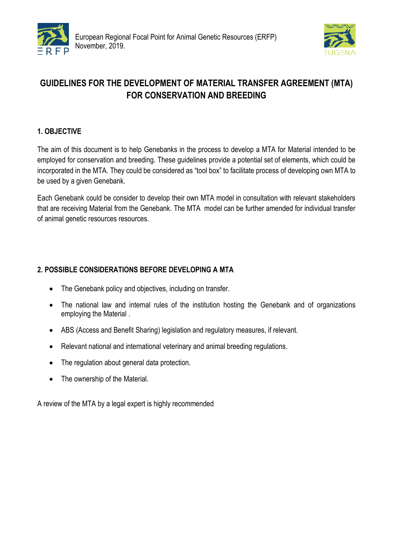



# **GUIDELINES FOR THE DEVELOPMENT OF MATERIAL TRANSFER AGREEMENT (MTA) FOR CONSERVATION AND BREEDING**

# **1. OBJECTIVE**

The aim of this document is to help Genebanks in the process to develop a MTA for Material intended to be employed for conservation and breeding. These guidelines provide a potential set of elements, which could be incorporated in the MTA. They could be considered as "tool box" to facilitate process of developing own MTA to be used by a given Genebank.

Each Genebank could be consider to develop their own MTA model in consultation with relevant stakeholders that are receiving Material from the Genebank. The MTA model can be further amended for individual transfer of animal genetic resources resources.

# **2. POSSIBLE CONSIDERATIONS BEFORE DEVELOPING A MTA**

- The Genebank policy and objectives, including on transfer.
- The national law and internal rules of the institution hosting the Genebank and of organizations employing the Material .
- ABS (Access and Benefit Sharing) legislation and regulatory measures, if relevant.
- Relevant national and international veterinary and animal breeding regulations.
- The regulation about general data protection.
- The ownership of the Material.

A review of the MTA by a legal expert is highly recommended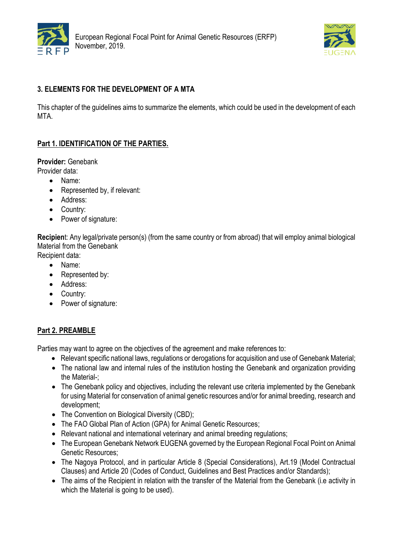



# **3. ELEMENTS FOR THE DEVELOPMENT OF A MTA**

This chapter of the guidelines aims to summarize the elements, which could be used in the development of each MTA.

# **Part 1. IDENTIFICATION OF THE PARTIES.**

**Provider:** Genebank

- Provider data:
	- Name:
	- Represented by, if relevant:
	- Address:
	- Country:
	- Power of signature:

**Recipien**t: Any legal/private person(s) (from the same country or from abroad) that will employ animal biological Material from the Genebank Recipient data:

- Name:
- Represented by:
- Address:
- Country:
- Power of signature:

## **Part 2. PREAMBLE**

Parties may want to agree on the objectives of the agreement and make references to:

- Relevant specific national laws, regulations or derogations for acquisition and use of Genebank Material;
- The national law and internal rules of the institution hosting the Genebank and organization providing the Material-;
- The Genebank policy and objectives, including the relevant use criteria implemented by the Genebank for using Material for conservation of animal genetic resources and/or for animal breeding, research and development;
- The Convention on Biological Diversity (CBD);
- The FAO Global Plan of Action (GPA) for Animal Genetic Resources;
- Relevant national and international veterinary and animal breeding regulations;
- The European Genebank Network EUGENA governed by the European Regional Focal Point on Animal Genetic Resources;
- The Nagoya Protocol, and in particular Article 8 (Special Considerations), Art.19 (Model Contractual Clauses) and Article 20 (Codes of Conduct, Guidelines and Best Practices and/or Standards);
- The aims of the Recipient in relation with the transfer of the Material from the Genebank (i.e activity in which the Material is going to be used).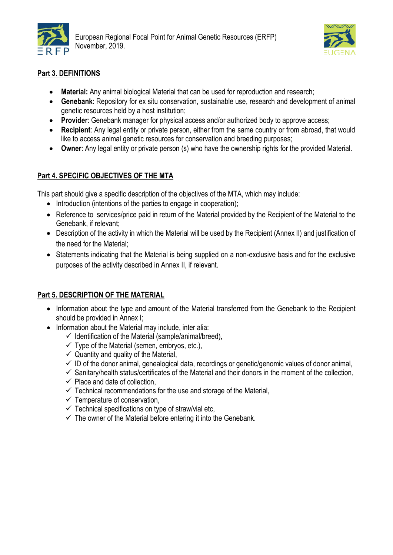



# **Part 3. DEFINITIONS**

- **Material:** Any animal biological Material that can be used for reproduction and research;
- **Genebank**: Repository for ex situ conservation, sustainable use, research and development of animal genetic resources held by a host institution;
- **Provider**: Genebank manager for physical access and/or authorized body to approve access;
- **Recipient**: Any legal entity or private person, either from the same country or from abroad, that would like to access animal genetic resources for conservation and breeding purposes;
- **Owner**: Any legal entity or private person (s) who have the ownership rights for the provided Material.

# **Part 4. SPECIFIC OBJECTIVES OF THE MTA**

This part should give a specific description of the objectives of the MTA, which may include:

- Introduction (intentions of the parties to engage in cooperation);
- Reference to services/price paid in return of the Material provided by the Recipient of the Material to the Genebank, if relevant;
- Description of the activity in which the Material will be used by the Recipient (Annex II) and justification of the need for the Material;
- Statements indicating that the Material is being supplied on a non-exclusive basis and for the exclusive purposes of the activity described in Annex II, if relevant.

# **Part 5. DESCRIPTION OF THE MATERIAL**

- Information about the type and amount of the Material transferred from the Genebank to the Recipient should be provided in Annex I;
- Information about the Material may include, inter alia:
	- $\checkmark$  Identification of the Material (sample/animal/breed),
	- $\checkmark$  Type of the Material (semen, embryos, etc.),
	- $\checkmark$  Quantity and quality of the Material,
	- $\checkmark$  ID of the donor animal, genealogical data, recordings or genetic/genomic values of donor animal,
	- $\checkmark$  Sanitary/health status/certificates of the Material and their donors in the moment of the collection,
	- $\checkmark$  Place and date of collection,
	- $\checkmark$  Technical recommendations for the use and storage of the Material,
	- $\checkmark$  Temperature of conservation,
	- $\checkmark$  Technical specifications on type of straw/vial etc,
	- $\checkmark$  The owner of the Material before entering it into the Genebank.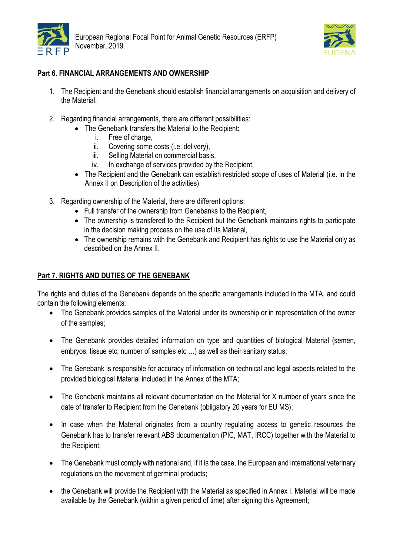



## **Part 6. FINANCIAL ARRANGEMENTS AND OWNERSHIP**

- 1. The Recipient and the Genebank should establish financial arrangements on acquisition and delivery of the Material.
- 2. Regarding financial arrangements, there are different possibilities:
	- The Genebank transfers the Material to the Recipient:
		- i. Free of charge,
		- ii. Covering some costs (i.e. delivery),
		- iii. Selling Material on commercial basis.
		- iv. In exchange of services provided by the Recipient,
	- The Recipient and the Genebank can establish restricted scope of uses of Material (i.e. in the Annex II on Description of the activities).
- 3. Regarding ownership of the Material, there are different options:
	- Full transfer of the ownership from Genebanks to the Recipient,
	- The ownership is transfered to the Recipient but the Genebank maintains rights to participate in the decision making process on the use of its Material,
	- The ownership remains with the Genebank and Recipient has rights to use the Material only as described on the Annex II.

#### **Part 7. RIGHTS AND DUTIES OF THE GENEBANK**

The rights and duties of the Genebank depends on the specific arrangements included in the MTA, and could contain the following elements:

- The Genebank provides samples of the Material under its ownership or in representation of the owner of the samples;
- The Genebank provides detailed information on type and quantities of biological Material (semen, embryos, tissue etc; number of samples etc ...) as well as their sanitary status;
- The Genebank is responsible for accuracy of information on technical and legal aspects related to the provided biological Material included in the Annex of the MTA;
- The Genebank maintains all relevant documentation on the Material for X number of years since the date of transfer to Recipient from the Genebank (obligatory 20 years for EU MS);
- In case when the Material originates from a country regulating access to genetic resources the Genebank has to transfer relevant ABS documentation (PIC, MAT, IRCC) together with the Material to the Recipient;
- The Genebank must comply with national and, if it is the case, the European and international veterinary regulations on the movement of germinal products;
- the Genebank will provide the Recipient with the Material as specified in Annex I. Material will be made available by the Genebank (within a given period of time) after signing this Agreement;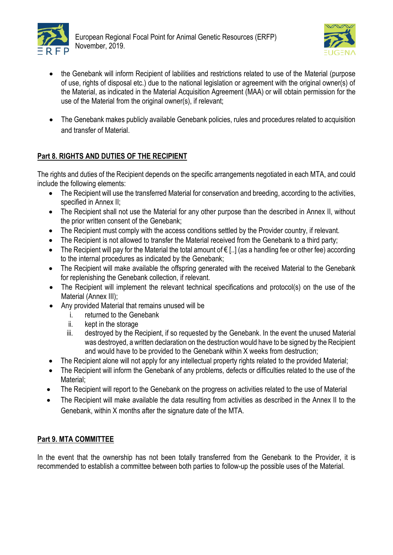



- the Genebank will inform Recipient of labilities and restrictions related to use of the Material (purpose of use, rights of disposal etc.) due to the national legislation or agreement with the original owner(s) of the Material, as indicated in the Material Acquisition Agreement (MAA) or will obtain permission for the use of the Material from the original owner(s), if relevant;
- The Genebank makes publicly available Genebank policies, rules and procedures related to acquisition and transfer of Material.

# **Part 8. RIGHTS AND DUTIES OF THE RECIPIENT**

The rights and duties of the Recipient depends on the specific arrangements negotiated in each MTA, and could include the following elements:

- The Recipient will use the transferred Material for conservation and breeding, according to the activities, specified in Annex II;
- The Recipient shall not use the Material for any other purpose than the described in Annex II, without the prior written consent of the Genebank;
- The Recipient must comply with the access conditions settled by the Provider country, if relevant.
- The Recipient is not allowed to transfer the Material received from the Genebank to a third party:
- The Recipient will pay for the Material the total amount of € [..] (as a handling fee or other fee) according to the internal procedures as indicated by the Genebank;
- The Recipient will make available the offspring generated with the received Material to the Genebank for replenishing the Genebank collection, if relevant.
- The Recipient will implement the relevant technical specifications and protocol(s) on the use of the Material (Annex III);
- Any provided Material that remains unused will be
	- i. returned to the Genebank
	- ii. kept in the storage
	- iii. destroyed by the Recipient, if so requested by the Genebank. In the event the unused Material was destroyed, a written declaration on the destruction would have to be signed by the Recipient and would have to be provided to the Genebank within X weeks from destruction;
- The Recipient alone will not apply for any intellectual property rights related to the provided Material;
- The Recipient will inform the Genebank of any problems, defects or difficulties related to the use of the Material;
- The Recipient will report to the Genebank on the progress on activities related to the use of Material
- The Recipient will make available the data resulting from activities as described in the Annex II to the Genebank, within X months after the signature date of the MTA.

# **Part 9. MTA COMMITTEE**

In the event that the ownership has not been totally transferred from the Genebank to the Provider, it is recommended to establish a committee between both parties to follow-up the possible uses of the Material.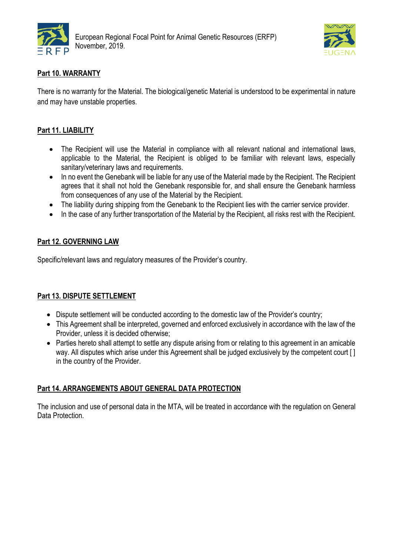



# **Part 10. WARRANTY**

There is no warranty for the Material. The biological/genetic Material is understood to be experimental in nature and may have unstable properties.

# **Part 11. LIABILITY**

- The Recipient will use the Material in compliance with all relevant national and international laws, applicable to the Material, the Recipient is obliged to be familiar with relevant laws, especially sanitary/veterinary laws and requirements.
- In no event the Genebank will be liable for any use of the Material made by the Recipient. The Recipient agrees that it shall not hold the Genebank responsible for, and shall ensure the Genebank harmless from consequences of any use of the Material by the Recipient.
- The liability during shipping from the Genebank to the Recipient lies with the carrier service provider.
- In the case of any further transportation of the Material by the Recipient, all risks rest with the Recipient.

## **Part 12. GOVERNING LAW**

Specific/relevant laws and regulatory measures of the Provider's country.

## **Part 13. DISPUTE SETTLEMENT**

- Dispute settlement will be conducted according to the domestic law of the Provider's country;
- This Agreement shall be interpreted, governed and enforced exclusively in accordance with the law of the Provider, unless it is decided otherwise;
- Parties hereto shall attempt to settle any dispute arising from or relating to this agreement in an amicable way. All disputes which arise under this Agreement shall be judged exclusively by the competent court [ ] in the country of the Provider.

## **Part 14. ARRANGEMENTS ABOUT GENERAL DATA PROTECTION**

The inclusion and use of personal data in the MTA, will be treated in accordance with the regulation on General Data Protection.